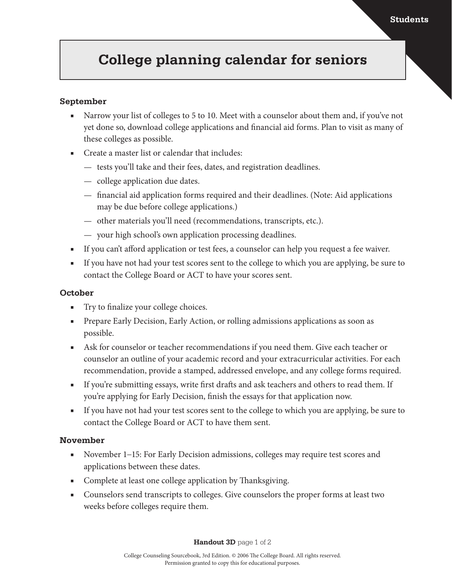# **College planning calendar for seniors**

#### **September**

- Narrow your list of colleges to 5 to 10. Meet with a counselor about them and, if you've not yet done so, download college applications and financial aid forms. Plan to visit as many of these colleges as possible.
- Create a master list or calendar that includes:
	- tests you'll take and their fees, dates, and registration deadlines.
	- college application due dates.
	- financial aid application forms required and their deadlines. (Note: Aid applications may be due before college applications.)
	- other materials you'll need (recommendations, transcripts, etc.).
	- your high school's own application processing deadlines.
- If you can't afford application or test fees, a counselor can help you request a fee waiver.
- If you have not had your test scores sent to the college to which you are applying, be sure to contact the College Board or ACT to have your scores sent.

#### **October**

- Try to finalize your college choices.
- Prepare Early Decision, Early Action, or rolling admissions applications as soon as possible.
- Ask for counselor or teacher recommendations if you need them. Give each teacher or counselor an outline of your academic record and your extracurricular activities. For each recommendation, provide a stamped, addressed envelope, and any college forms required.
- If you're submitting essays, write first drafts and ask teachers and others to read them. If you're applying for Early Decision, finish the essays for that application now.
- If you have not had your test scores sent to the college to which you are applying, be sure to contact the College Board or ACT to have them sent.

#### **November**

- November 1–15: For Early Decision admissions, colleges may require test scores and applications between these dates.
- Complete at least one college application by Thanksgiving.
- Counselors send transcripts to colleges. Give counselors the proper forms at least two weeks before colleges require them.

**Handout 3D** page 1 of 2